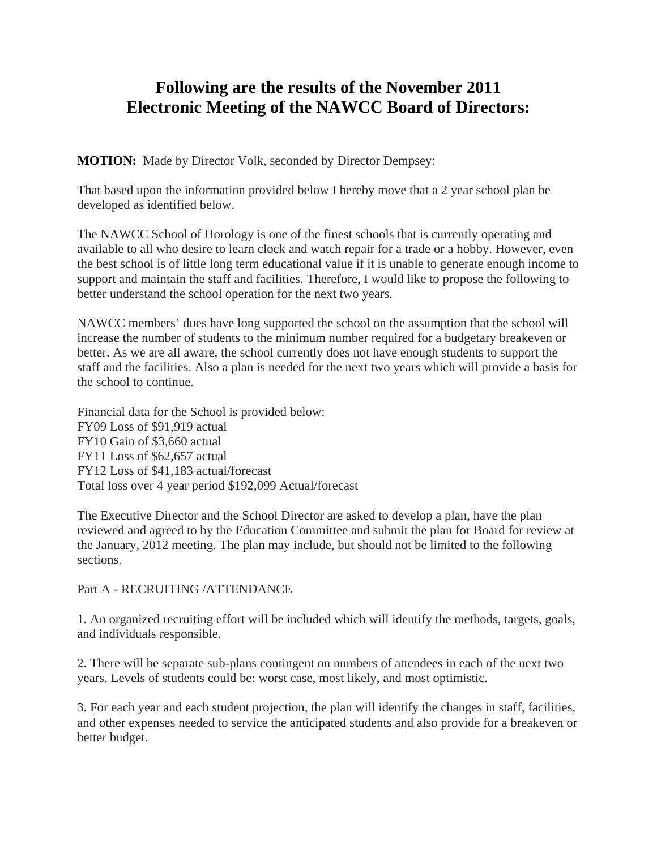## **Following are the results of the November 2011 Electronic Meeting of the NAWCC Board of Directors:**

**MOTION:** Made by Director Volk, seconded by Director Dempsey:

That based upon the information provided below I hereby move that a 2 year school plan be developed as identified below.

The NAWCC School of Horology is one of the finest schools that is currently operating and available to all who desire to learn clock and watch repair for a trade or a hobby. However, even the best school is of little long term educational value if it is unable to generate enough income to support and maintain the staff and facilities. Therefore, I would like to propose the following to better understand the school operation for the next two years.

NAWCC members' dues have long supported the school on the assumption that the school will increase the number of students to the minimum number required for a budgetary breakeven or better. As we are all aware, the school currently does not have enough students to support the staff and the facilities. Also a plan is needed for the next two years which will provide a basis for the school to continue.

Financial data for the School is provided below: FY09 Loss of \$91,919 actual FY10 Gain of \$3,660 actual FY11 Loss of \$62,657 actual FY12 Loss of \$41,183 actual/forecast Total loss over 4 year period \$192,099 Actual/forecast

The Executive Director and the School Director are asked to develop a plan, have the plan reviewed and agreed to by the Education Committee and submit the plan for Board for review at the January, 2012 meeting. The plan may include, but should not be limited to the following sections.

## Part A - RECRUITING /ATTENDANCE

1. An organized recruiting effort will be included which will identify the methods, targets, goals, and individuals responsible.

2. There will be separate sub-plans contingent on numbers of attendees in each of the next two years. Levels of students could be: worst case, most likely, and most optimistic.

3. For each year and each student projection, the plan will identify the changes in staff, facilities, and other expenses needed to service the anticipated students and also provide for a breakeven or better budget.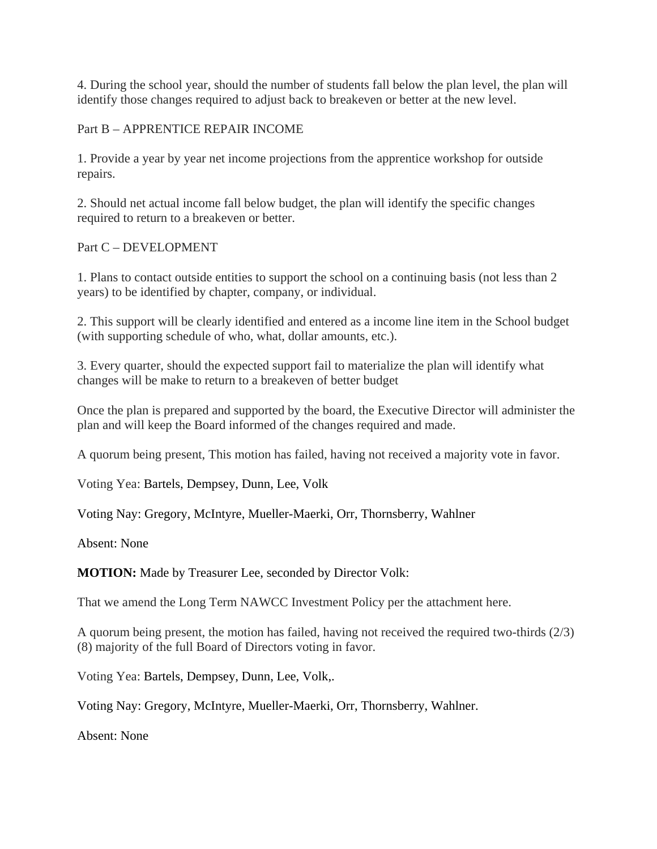4. During the school year, should the number of students fall below the plan level, the plan will identify those changes required to adjust back to breakeven or better at the new level.

Part B – APPRENTICE REPAIR INCOME

1. Provide a year by year net income projections from the apprentice workshop for outside repairs.

2. Should net actual income fall below budget, the plan will identify the specific changes required to return to a breakeven or better.

Part C – DEVELOPMENT

1. Plans to contact outside entities to support the school on a continuing basis (not less than 2 years) to be identified by chapter, company, or individual.

2. This support will be clearly identified and entered as a income line item in the School budget (with supporting schedule of who, what, dollar amounts, etc.).

3. Every quarter, should the expected support fail to materialize the plan will identify what changes will be make to return to a breakeven of better budget

Once the plan is prepared and supported by the board, the Executive Director will administer the plan and will keep the Board informed of the changes required and made.

A quorum being present, This motion has failed, having not received a majority vote in favor.

Voting Yea: Bartels, Dempsey, Dunn, Lee, Volk

Voting Nay: Gregory, McIntyre, Mueller-Maerki, Orr, Thornsberry, Wahlner

Absent: None

**MOTION:** Made by Treasurer Lee, seconded by Director Volk:

That we amend the Long Term NAWCC Investment Policy per the attachment here.

A quorum being present, the motion has failed, having not received the required two-thirds (2/3) (8) majority of the full Board of Directors voting in favor.

Voting Yea: Bartels, Dempsey, Dunn, Lee, Volk,.

Voting Nay: Gregory, McIntyre, Mueller-Maerki, Orr, Thornsberry, Wahlner.

Absent: None